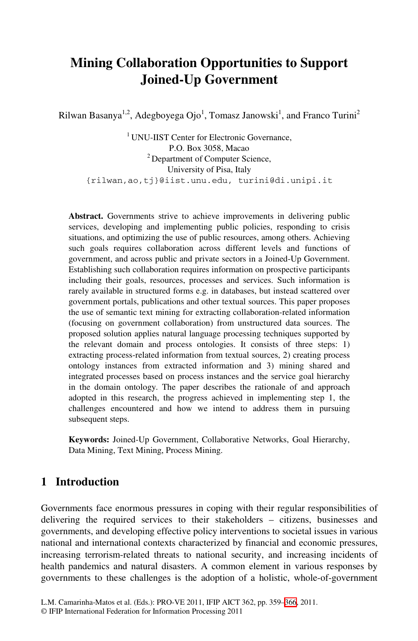# **Mining Collaboration Opportunities to Support Joined-Up Government**

Rilwan Basanya<sup>1,2</sup>, Adegboyega Ojo<sup>1</sup>, Tomasz Janowski<sup>1</sup>, and Franco Turini<sup>2</sup>

<sup>1</sup> UNU-IIST Center for Electronic Governance, P.O. Box 3058, Macao 2 Department of Computer Science, University of Pisa, Italy {rilwan,ao,tj}@iist.unu.edu, turini@di.unipi.it

**Abstract.** Governments strive to achieve improvements in delivering public services, developing and implementing public policies, responding to crisis situations, and optimizing the use of public resources, among others. Achieving such goals requires collaboration across different levels and functions of government, and across public and private sectors in a Joined-Up Government. Establishing such collaboration requires information on prospective participants including their goals, resources, processes and services. Such information is rarely available in structured forms e.g. in databases, but instead scattered over government portals, publications and other textual sources. This paper proposes the use of semantic text mining for extracting collaboration-related information (focusing on government collaboration) from unstructured data sources. The proposed solution applies natural language processing techniques supported by the relevant domain and process ontologies. It consists of three steps: 1) extracting process-related information from textual sources, 2) creating process ontology instances from extracted information and 3) mining shared and integrated processes based on process instances and the service goal hierarchy in the domain ontology. The paper describes the rationale of and approach adopted in this research, the progress achieved in implementing step 1, the challenges encountered and how we intend to address them in pursuing subsequent steps.

**Keywords:** Joined-Up Government, Collaborative Networks, Goal Hierarchy, Data Mining, Text Mining, Process Mining.

#### **1 Introduction**

Governments face enormous pressures in [cop](#page-7-0)ing with their regular responsibilities of delivering the required services to their stakeholders – citizens, businesses and governments, and developing effective policy interventions to societal issues in various national and international contexts characterized by financial and economic pressures, increasing terrorism-related threats to national security, and increasing incidents of health pandemics and natural disasters. A common element in various responses by governments to these challenges is the adoption of a holistic, whole-of-government

L.M. Camarinha-Matos et al. (Eds.): PRO-VE 2011, IFIP AICT 362, pp. 359–366, 2011.

<sup>©</sup> IFIP International Federation for Information Processing 2011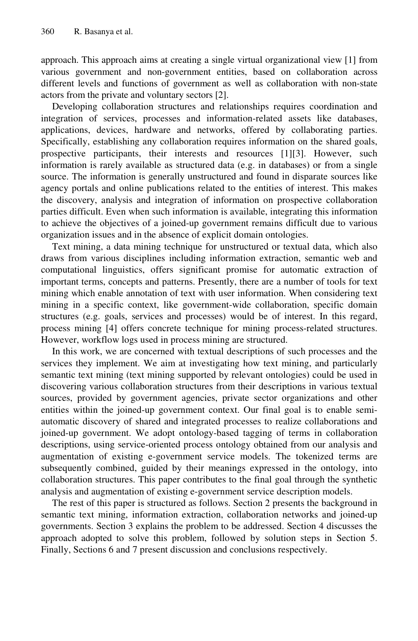approach. This approach aims at creating a single virtual organizational view [1] from various government and non-government entities, based on collaboration across different levels and functions of government as well as collaboration with non-state actors from the private and voluntary sectors [2].

Developing collaboration structures and relationships requires coordination and integration of services, processes and information-related assets like databases, applications, devices, hardware and networks, offered by collaborating parties. Specifically, establishing any collaboration requires information on the shared goals, prospective participants, their interests and resources [1][3]. However, such information is rarely available as structured data (e.g. in databases) or from a single source. The information is generally unstructured and found in disparate sources like agency portals and online publications related to the entities of interest. This makes the discovery, analysis and integration of information on prospective collaboration parties difficult. Even when such information is available, integrating this information to achieve the objectives of a joined-up government remains difficult due to various organization issues and in the absence of explicit domain ontologies.

Text mining, a data mining technique for unstructured or textual data, which also draws from various disciplines including information extraction, semantic web and computational linguistics, offers significant promise for automatic extraction of important terms, concepts and patterns. Presently, there are a number of tools for text mining which enable annotation of text with user information. When considering text mining in a specific context, like government-wide collaboration, specific domain structures (e.g. goals, services and processes) would be of interest. In this regard, process mining [4] offers concrete technique for mining process-related structures. However, workflow logs used in process mining are structured.

In this work, we are concerned with textual descriptions of such processes and the services they implement. We aim at investigating how text mining, and particularly semantic text mining (text mining supported by relevant ontologies) could be used in discovering various collaboration structures from their descriptions in various textual sources, provided by government agencies, private sector organizations and other entities within the joined-up government context. Our final goal is to enable semiautomatic discovery of shared and integrated processes to realize collaborations and joined-up government. We adopt ontology-based tagging of terms in collaboration descriptions, using service-oriented process ontology obtained from our analysis and augmentation of existing e-government service models. The tokenized terms are subsequently combined, guided by their meanings expressed in the ontology, into collaboration structures. This paper contributes to the final goal through the synthetic analysis and augmentation of existing e-government service description models.

The rest of this paper is structured as follows. Section 2 presents the background in semantic text mining, information extraction, collaboration networks and joined-up governments. Section 3 explains the problem to be addressed. Section 4 discusses the approach adopted to solve this problem, followed by solution steps in Section 5. Finally, Sections 6 and 7 present discussion and conclusions respectively.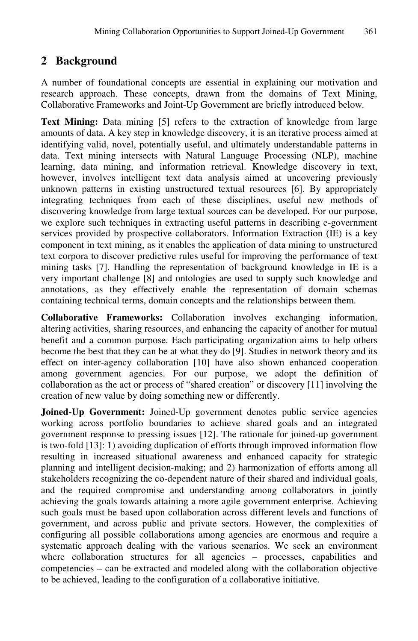### **2 Background**

A number of foundational concepts are essential in explaining our motivation and research approach. These concepts, drawn from the domains of Text Mining, Collaborative Frameworks and Joint-Up Government are briefly introduced below.

**Text Mining:** Data mining [5] refers to the extraction of knowledge from large amounts of data. A key step in knowledge discovery, it is an iterative process aimed at identifying valid, novel, potentially useful, and ultimately understandable patterns in data. Text mining intersects with Natural Language Processing (NLP), machine learning, data mining, and information retrieval. Knowledge discovery in text, however, involves intelligent text data analysis aimed at uncovering previously unknown patterns in existing unstructured textual resources [6]. By appropriately integrating techniques from each of these disciplines, useful new methods of discovering knowledge from large textual sources can be developed. For our purpose, we explore such techniques in extracting useful patterns in describing e-government services provided by prospective collaborators. Information Extraction (IE) is a key component in text mining, as it enables the application of data mining to unstructured text corpora to discover predictive rules useful for improving the performance of text mining tasks [7]. Handling the representation of background knowledge in IE is a very important challenge [8] and ontologies are used to supply such knowledge and annotations, as they effectively enable the representation of domain schemas containing technical terms, domain concepts and the relationships between them.

**Collaborative Frameworks:** Collaboration involves exchanging information, altering activities, sharing resources, and enhancing the capacity of another for mutual benefit and a common purpose. Each participating organization aims to help others become the best that they can be at what they do [9]. Studies in network theory and its effect on inter-agency collaboration [10] have also shown enhanced cooperation among government agencies. For our purpose, we adopt the definition of collaboration as the act or process of "shared creation" or discovery [11] involving the creation of new value by doing something new or differently.

**Joined-Up Government:** Joined-Up government denotes public service agencies working across portfolio boundaries to achieve shared goals and an integrated government response to pressing issues [12]. The rationale for joined-up government is two-fold [13]: 1) avoiding duplication of efforts through improved information flow resulting in increased situational awareness and enhanced capacity for strategic planning and intelligent decision-making; and 2) harmonization of efforts among all stakeholders recognizing the co-dependent nature of their shared and individual goals, and the required compromise and understanding among collaborators in jointly achieving the goals towards attaining a more agile government enterprise. Achieving such goals must be based upon collaboration across different levels and functions of government, and across public and private sectors. However, the complexities of configuring all possible collaborations among agencies are enormous and require a systematic approach dealing with the various scenarios. We seek an environment where collaboration structures for all agencies – processes, capabilities and competencies – can be extracted and modeled along with the collaboration objective to be achieved, leading to the configuration of a collaborative initiative.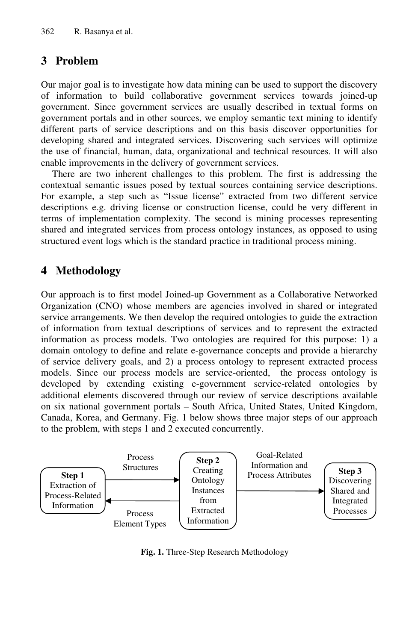### **3 Problem**

Our major goal is to investigate how data mining can be used to support the discovery of information to build collaborative government services towards joined-up government. Since government services are usually described in textual forms on government portals and in other sources, we employ semantic text mining to identify different parts of service descriptions and on this basis discover opportunities for developing shared and integrated services. Discovering such services will optimize the use of financial, human, data, organizational and technical resources. It will also enable improvements in the delivery of government services.

There are two inherent challenges to this problem. The first is addressing the contextual semantic issues posed by textual sources containing service descriptions. For example, a step such as "Issue license" extracted from two different service descriptions e.g. driving license or construction license, could be very different in terms of implementation complexity. The second is mining processes representing shared and integrated services from process ontology instances, as opposed to using structured event logs which is the standard practice in traditional process mining.

### **4 Methodology**

Our approach is to first model Joined-up Government as a Collaborative Networked Organization (CNO) whose members are agencies involved in shared or integrated service arrangements. We then develop the required ontologies to guide the extraction of information from textual descriptions of services and to represent the extracted information as process models. Two ontologies are required for this purpose: 1) a domain ontology to define and relate e-governance concepts and provide a hierarchy of service delivery goals, and 2) a process ontology to represent extracted process models. Since our process models are service-oriented, the process ontology is developed by extending existing e-government service-related ontologies by additional elements discovered through our review of service descriptions available on six national government portals – South Africa, United States, United Kingdom, Canada, Korea, and Germany. Fig. 1 below shows three major steps of our approach to the problem, with steps 1 and 2 executed concurrently.



**Fig. 1.** Three-Step Research Methodology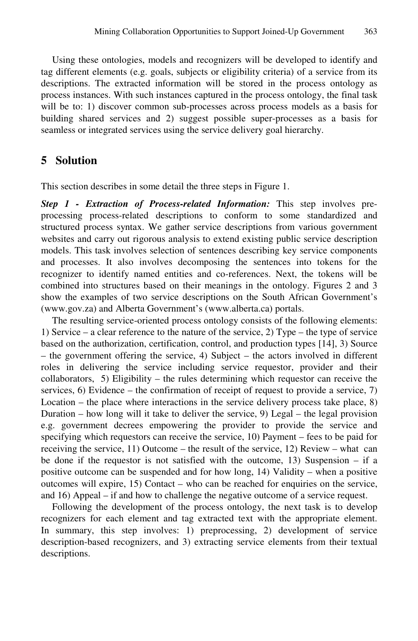Using these ontologies, models and recognizers will be developed to identify and tag different elements (e.g. goals, subjects or eligibility criteria) of a service from its descriptions. The extracted information will be stored in the process ontology as process instances. With such instances captured in the process ontology, the final task will be to: 1) discover common sub-processes across process models as a basis for building shared services and 2) suggest possible super-processes as a basis for seamless or integrated services using the service delivery goal hierarchy.

#### **5 Solution**

This section describes in some detail the three steps in Figure 1.

*Step 1 - Extraction of Process-related Information:* This step involves preprocessing process-related descriptions to conform to some standardized and structured process syntax. We gather service descriptions from various government websites and carry out rigorous analysis to extend existing public service description models. This task involves selection of sentences describing key service components and processes. It also involves decomposing the sentences into tokens for the recognizer to identify named entities and co-references. Next, the tokens will be combined into structures based on their meanings in the ontology. Figures 2 and 3 show the examples of two service descriptions on the South African Government's (www.gov.za) and Alberta Government's (www.alberta.ca) portals.

The resulting service-oriented process ontology consists of the following elements: 1) Service – a clear reference to the nature of the service, 2) Type – the type of service based on the authorization, certification, control, and production types [14], 3) Source – the government offering the service, 4) Subject – the actors involved in different roles in delivering the service including service requestor, provider and their collaborators, 5) Eligibility – the rules determining which requestor can receive the services, 6) Evidence – the confirmation of receipt of request to provide a service, 7) Location – the place where interactions in the service delivery process take place, 8) Duration – how long will it take to deliver the service, 9) Legal – the legal provision e.g. government decrees empowering the provider to provide the service and specifying which requestors can receive the service, 10) Payment – fees to be paid for receiving the service, 11) Outcome – the result of the service, 12) Review – what can be done if the requestor is not satisfied with the outcome, 13) Suspension – if a positive outcome can be suspended and for how long, 14) Validity – when a positive outcomes will expire, 15) Contact – who can be reached for enquiries on the service, and 16) Appeal – if and how to challenge the negative outcome of a service request.

Following the development of the process ontology, the next task is to develop recognizers for each element and tag extracted text with the appropriate element. In summary, this step involves: 1) preprocessing, 2) development of service description-based recognizers, and 3) extracting service elements from their textual descriptions.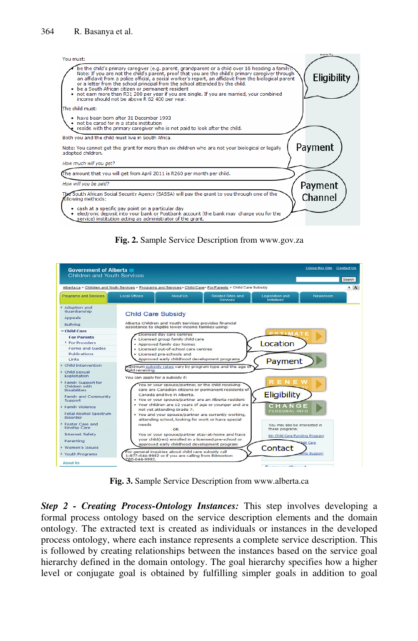

#### **Fig. 2.** Sample Service Description from www.gov.za



**Fig. 3.** Sample Service Description from www.alberta.ca

*Step 2 - Creating Process-Ontology Instances:* This step involves developing a formal process ontology based on the service description elements and the domain ontology. The extracted text is created as individuals or instances in the developed process ontology, where each instance represents a complete service description. This is followed by creating relationships between the instances based on the service goal hierarchy defined in the domain ontology. The goal hierarchy specifies how a higher level or conjugate goal is obtained by fulfilling simpler goals in addition to goal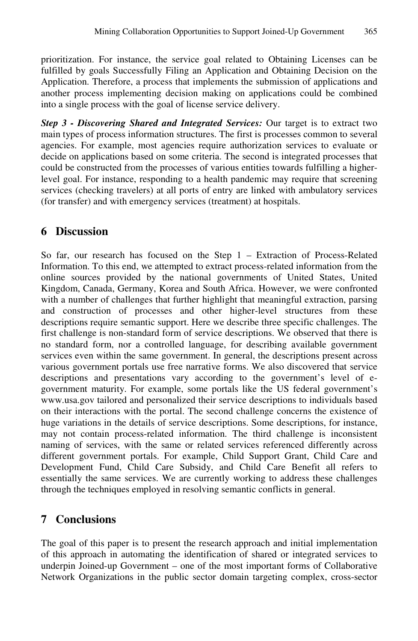prioritization. For instance, the service goal related to Obtaining Licenses can be fulfilled by goals Successfully Filing an Application and Obtaining Decision on the Application. Therefore, a process that implements the submission of applications and another process implementing decision making on applications could be combined into a single process with the goal of license service delivery.

*Step 3 - Discovering Shared and Integrated Services:* Our target is to extract two main types of process information structures. The first is processes common to several agencies. For example, most agencies require authorization services to evaluate or decide on applications based on some criteria. The second is integrated processes that could be constructed from the processes of various entities towards fulfilling a higherlevel goal. For instance, responding to a health pandemic may require that screening services (checking travelers) at all ports of entry are linked with ambulatory services (for transfer) and with emergency services (treatment) at hospitals.

### **6 Discussion**

So far, our research has focused on the Step 1 – Extraction of Process-Related Information. To this end, we attempted to extract process-related information from the online sources provided by the national governments of United States, United Kingdom, Canada, Germany, Korea and South Africa. However, we were confronted with a number of challenges that further highlight that meaningful extraction, parsing and construction of processes and other higher-level structures from these descriptions require semantic support. Here we describe three specific challenges. The first challenge is non-standard form of service descriptions. We observed that there is no standard form, nor a controlled language, for describing available government services even within the same government. In general, the descriptions present across various government portals use free narrative forms. We also discovered that service descriptions and presentations vary according to the government's level of egovernment maturity. For example, some portals like the US federal government's www.usa.gov tailored and personalized their service descriptions to individuals based on their interactions with the portal. The second challenge concerns the existence of huge variations in the details of service descriptions. Some descriptions, for instance, may not contain process-related information. The third challenge is inconsistent naming of services, with the same or related services referenced differently across different government portals. For example, Child Support Grant, Child Care and Development Fund, Child Care Subsidy, and Child Care Benefit all refers to essentially the same services. We are currently working to address these challenges through the techniques employed in resolving semantic conflicts in general.

## **7 Conclusions**

The goal of this paper is to present the research approach and initial implementation of this approach in automating the identification of shared or integrated services to underpin Joined-up Government – one of the most important forms of Collaborative Network Organizations in the public sector domain targeting complex, cross-sector